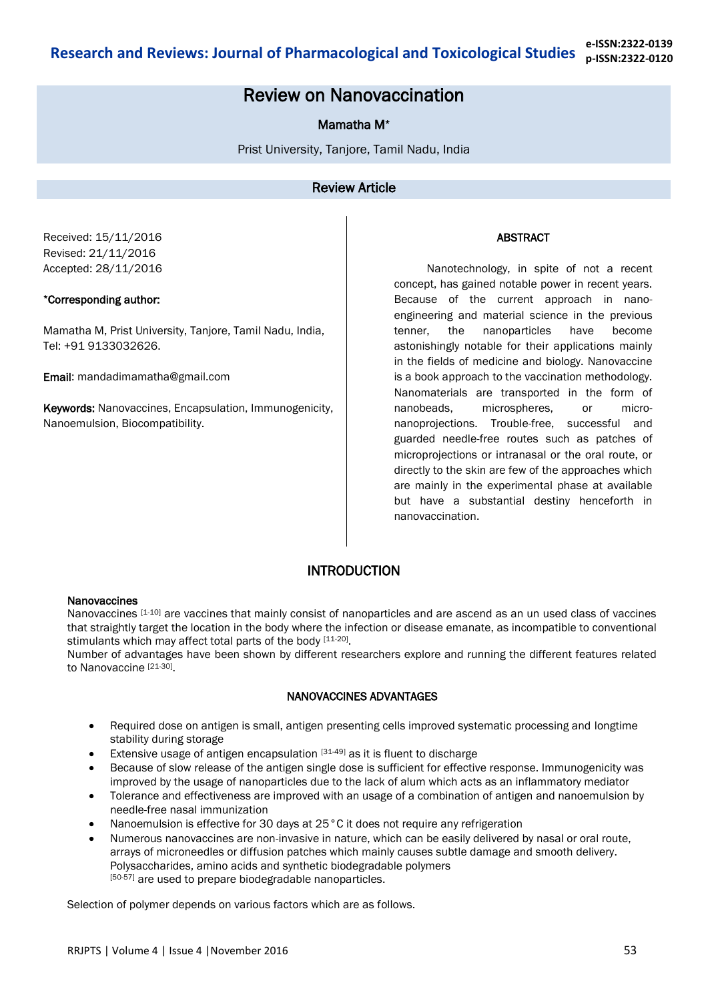# Review on Nanovaccination

# Mamatha M\*

Prist University, Tanjore, Tamil Nadu, India

## Review Article

Received: 15/11/2016 Revised: 21/11/2016 Accepted: 28/11/2016

### \*Corresponding author:

Mamatha M, Prist University, Tanjore, Tamil Nadu, India, Tel: +91 9133032626.

Email: mandadimamatha@gmail.com

Keywords: Nanovaccines, Encapsulation, Immunogenicity, Nanoemulsion, Biocompatibility.

### ABSTRACT

 Nanotechnology, in spite of not a recent concept, has gained notable power in recent years. Because of the current approach in nanoengineering and material science in the previous tenner, the nanoparticles have become astonishingly notable for their applications mainly in the fields of medicine and biology. Nanovaccine is a book approach to the vaccination methodology. Nanomaterials are transported in the form of nanobeads, microspheres, or micronanoprojections. Trouble-free, successful and guarded needle-free routes such as patches of microprojections or intranasal or the oral route, or directly to the skin are few of the approaches which are mainly in the experimental phase at available but have a substantial destiny henceforth in nanovaccination.

# INTRODUCTION

#### **Nanovaccines**

Nanovaccines [1-10] are vaccines that mainly consist of nanoparticles and are ascend as an un used class of vaccines that straightly target the location in the body where the infection or disease emanate, as incompatible to conventional stimulants which may affect total parts of the body [11-20].

Number of advantages have been shown by different researchers explore and running the different features related to Nanovaccine [21-30].

### NANOVACCINES ADVANTAGES

- Required dose on antigen is small, antigen presenting cells improved systematic processing and longtime stability during storage
- Extensive usage of antigen encapsulation [31-49] as it is fluent to discharge
- Because of slow release of the antigen single dose is sufficient for effective response. Immunogenicity was improved by the usage of nanoparticles due to the lack of alum which acts as an inflammatory mediator
- Tolerance and effectiveness are improved with an usage of a combination of antigen and nanoemulsion by needle-free nasal immunization
- Nanoemulsion is effective for 30 days at 25°C it does not require any refrigeration
- Numerous nanovaccines are non-invasive in nature, which can be easily delivered by nasal or oral route, arrays of microneedles or diffusion patches which mainly causes subtle damage and smooth delivery. Polysaccharides, amino acids and synthetic biodegradable polymers [50-57] are used to prepare biodegradable nanoparticles.

Selection of polymer depends on various factors which are as follows.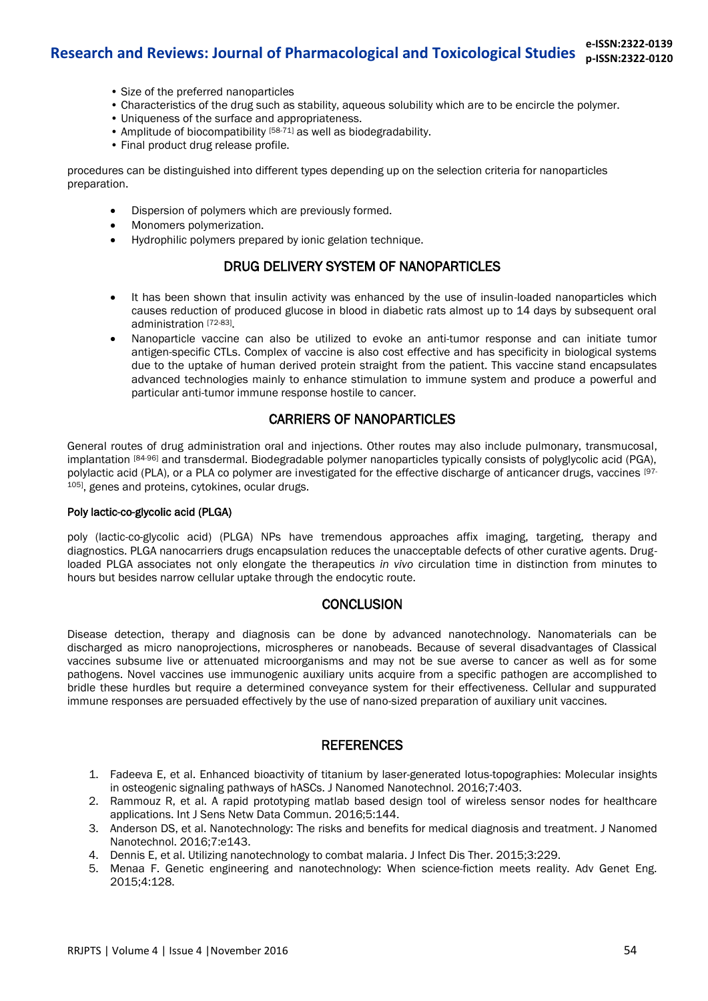- Size of the preferred nanoparticles
- Characteristics of the drug such as stability, aqueous solubility which are to be encircle the polymer.
- Uniqueness of the surface and appropriateness.
- Amplitude of biocompatibility  $[58-71]$  as well as biodegradability.
- Final product drug release profile.

procedures can be distinguished into different types depending up on the selection criteria for nanoparticles preparation.

- Dispersion of polymers which are previously formed.
- Monomers polymerization.
- Hydrophilic polymers prepared by ionic gelation technique.

# DRUG DELIVERY SYSTEM OF NANOPARTICLES

- It has been shown that insulin activity was enhanced by the use of insulin-loaded nanoparticles which causes reduction of produced glucose in blood in diabetic rats almost up to 14 days by subsequent oral administration [72-83] .
- Nanoparticle vaccine can also be utilized to evoke an anti-tumor response and can initiate tumor antigen-specific CTLs. Complex of vaccine is also cost effective and has specificity in biological systems due to the uptake of human derived protein straight from the patient. This vaccine stand encapsulates advanced technologies mainly to enhance stimulation to immune system and produce a powerful and particular anti-tumor immune response hostile to cancer.

# CARRIERS OF NANOPARTICLES

General routes of drug administration oral and injections. Other routes may also include pulmonary, transmucosal, implantation [84-96] and transdermal. Biodegradable polymer nanoparticles typically consists of polyglycolic acid (PGA), polylactic acid (PLA), or a PLA co polymer are investigated for the effective discharge of anticancer drugs, vaccines [97-105], genes and proteins, cytokines, ocular drugs.

### Poly lactic-co-glycolic acid (PLGA)

poly (lactic-co-glycolic acid) (PLGA) NPs have tremendous approaches affix imaging, targeting, therapy and diagnostics. PLGA nanocarriers drugs encapsulation reduces the unacceptable defects of other curative agents. Drugloaded PLGA associates not only elongate the therapeutics *in vivo* circulation time in distinction from minutes to hours but besides narrow cellular uptake through the endocytic route.

### **CONCLUSION**

Disease detection, therapy and diagnosis can be done by advanced nanotechnology. Nanomaterials can be discharged as micro nanoprojections, microspheres or nanobeads. Because of several disadvantages of Classical vaccines subsume live or attenuated microorganisms and may not be sue averse to cancer as well as for some pathogens. Novel vaccines use immunogenic auxiliary units acquire from a specific pathogen are accomplished to bridle these hurdles but require a determined conveyance system for their effectiveness. Cellular and suppurated immune responses are persuaded effectively by the use of nano-sized preparation of auxiliary unit vaccines.

### **REFERENCES**

- 1. Fadeeva E, et al. Enhanced bioactivity of titanium by laser-generated lotus-topographies: Molecular insights in osteogenic signaling pathways of hASCs. J Nanomed Nanotechnol. 2016;7:403.
- 2. Rammouz R, et al. A rapid prototyping matlab based design tool of wireless sensor nodes for healthcare applications. Int J Sens Netw Data Commun. 2016;5:144.
- 3. Anderson DS, et al. Nanotechnology: The risks and benefits for medical diagnosis and treatment. J Nanomed Nanotechnol. 2016;7:e143.
- 4. Dennis E, et al. Utilizing nanotechnology to combat malaria. J Infect Dis Ther. 2015;3:229.
- 5. Menaa F. Genetic engineering and nanotechnology: When science-fiction meets reality. Adv Genet Eng. 2015;4:128.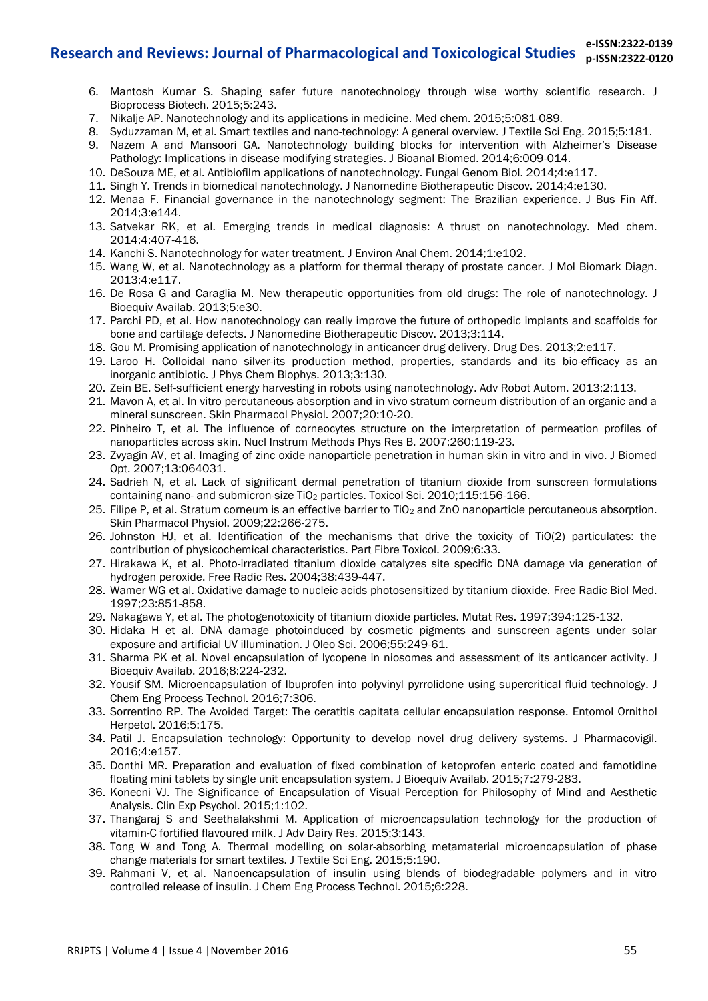- 6. Mantosh Kumar S. Shaping safer future nanotechnology through wise worthy scientific research. J Bioprocess Biotech. 2015;5:243.
- 7. Nikalje AP. Nanotechnology and its applications in medicine. Med chem. 2015;5:081-089.
- 8. Syduzzaman M, et al. Smart textiles and nano-technology: A general overview. J Textile Sci Eng. 2015;5:181.
- 9. Nazem A and Mansoori GA. Nanotechnology building blocks for intervention with Alzheimer's Disease Pathology: Implications in disease modifying strategies. J Bioanal Biomed. 2014;6:009-014.
- 10. DeSouza ME, et al. Antibiofilm applications of nanotechnology. Fungal Genom Biol. 2014;4:e117.
- 11. Singh Y. Trends in biomedical nanotechnology. J Nanomedine Biotherapeutic Discov. 2014;4:e130.
- 12. Menaa F. Financial governance in the nanotechnology segment: The Brazilian experience. J Bus Fin Aff. 2014;3:e144.
- 13. Satvekar RK, et al. Emerging trends in medical diagnosis: A thrust on nanotechnology. Med chem. 2014;4:407-416.
- 14. Kanchi S. Nanotechnology for water treatment. J Environ Anal Chem. 2014;1:e102.
- 15. Wang W, et al. Nanotechnology as a platform for thermal therapy of prostate cancer. J Mol Biomark Diagn. 2013;4:e117.
- 16. De Rosa G and Caraglia M. New therapeutic opportunities from old drugs: The role of nanotechnology. J Bioequiv Availab. 2013;5:e30.
- 17. Parchi PD, et al. How nanotechnology can really improve the future of orthopedic implants and scaffolds for bone and cartilage defects. J Nanomedine Biotherapeutic Discov. 2013;3:114.
- 18. Gou M. Promising application of nanotechnology in anticancer drug delivery. Drug Des. 2013;2:e117.
- 19. Laroo H. Colloidal nano silver-its production method, properties, standards and its bio-efficacy as an inorganic antibiotic. J Phys Chem Biophys. 2013;3:130.
- 20. Zein BE. Self-sufficient energy harvesting in robots using nanotechnology. Adv Robot Autom. 2013;2:113.
- 21. Mavon A, et al. In vitro percutaneous absorption and in vivo stratum corneum distribution of an organic and a mineral sunscreen. Skin Pharmacol Physiol. 2007;20:10-20.
- 22. Pinheiro T, et al. The influence of corneocytes structure on the interpretation of permeation profiles of nanoparticles across skin. Nucl Instrum Methods Phys Res B. 2007;260:119-23.
- 23. Zvyagin AV, et al. Imaging of zinc oxide nanoparticle penetration in human skin in vitro and in vivo. J Biomed Opt. 2007;13:064031.
- 24. Sadrieh N, et al. Lack of significant dermal penetration of titanium dioxide from sunscreen formulations containing nano- and submicron-size TiO<sub>2</sub> particles. Toxicol Sci. 2010;115:156-166.
- 25. Filipe P, et al. Stratum corneum is an effective barrier to TiO2 and ZnO nanoparticle percutaneous absorption. Skin Pharmacol Physiol. 2009;22:266-275.
- 26. Johnston HJ, et al. Identification of the mechanisms that drive the toxicity of TiO(2) particulates: the contribution of physicochemical characteristics. Part Fibre Toxicol. 2009;6:33.
- 27. Hirakawa K, et al. Photo-irradiated titanium dioxide catalyzes site specific DNA damage via generation of hydrogen peroxide. Free Radic Res. 2004;38:439-447.
- 28. Wamer WG et al. Oxidative damage to nucleic acids photosensitized by titanium dioxide. Free Radic Biol Med. 1997;23:851-858.
- 29. Nakagawa Y, et al. The photogenotoxicity of titanium dioxide particles. Mutat Res. 1997;394:125-132.
- 30. Hidaka H et al. DNA damage photoinduced by cosmetic pigments and sunscreen agents under solar exposure and artificial UV illumination. J Oleo Sci. 2006;55:249-61.
- 31. Sharma PK et al. Novel encapsulation of lycopene in niosomes and assessment of its anticancer activity. J Bioequiv Availab. 2016;8:224-232.
- 32. Yousif SM. Microencapsulation of Ibuprofen into polyvinyl pyrrolidone using supercritical fluid technology. J Chem Eng Process Technol. 2016;7:306.
- 33. Sorrentino RP. The Avoided Target: The ceratitis capitata cellular encapsulation response. Entomol Ornithol Herpetol. 2016;5:175.
- 34. Patil J. Encapsulation technology: Opportunity to develop novel drug delivery systems. J Pharmacovigil. 2016;4:e157.
- 35. Donthi MR. Preparation and evaluation of fixed combination of ketoprofen enteric coated and famotidine floating mini tablets by single unit encapsulation system. J Bioequiv Availab. 2015;7:279-283.
- 36. Konecni VJ. The Significance of Encapsulation of Visual Perception for Philosophy of Mind and Aesthetic Analysis. Clin Exp Psychol. 2015;1:102.
- 37. Thangaraj S and Seethalakshmi M. Application of microencapsulation technology for the production of vitamin-C fortified flavoured milk. J Adv Dairy Res. 2015;3:143.
- 38. Tong W and Tong A. Thermal modelling on solar-absorbing metamaterial microencapsulation of phase change materials for smart textiles. J Textile Sci Eng. 2015;5:190.
- 39. Rahmani V, et al. Nanoencapsulation of insulin using blends of biodegradable polymers and in vitro controlled release of insulin. J Chem Eng Process Technol. 2015;6:228.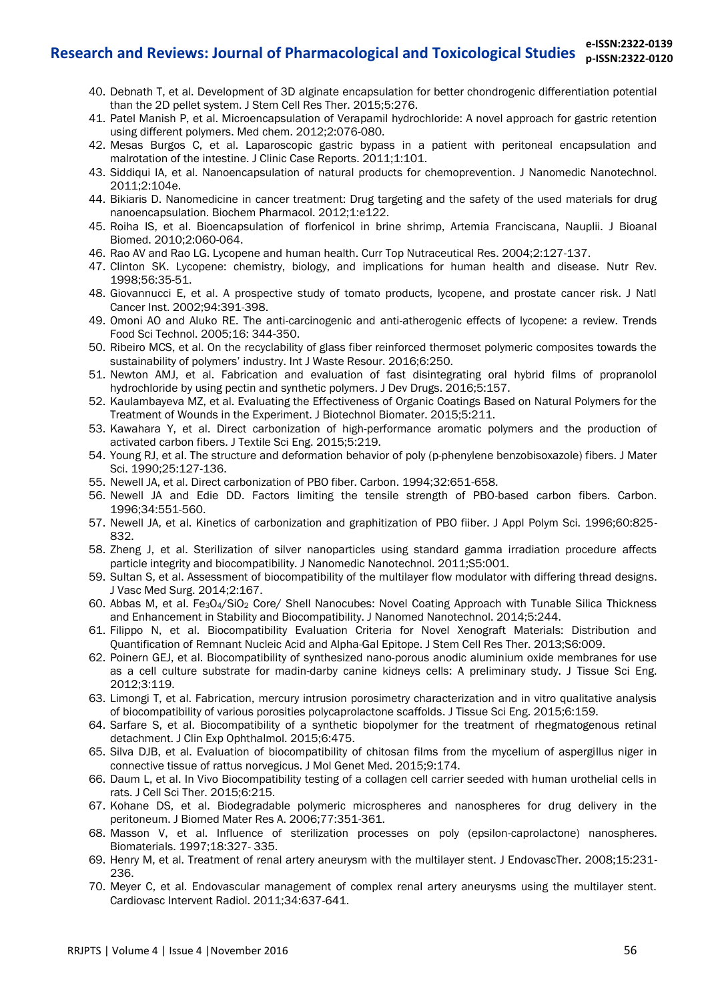- 40. Debnath T, et al. Development of 3D alginate encapsulation for better chondrogenic differentiation potential than the 2D pellet system. J Stem Cell Res Ther. 2015;5:276.
- 41. Patel Manish P, et al. Microencapsulation of Verapamil hydrochloride: A novel approach for gastric retention using different polymers. Med chem. 2012;2:076-080.
- 42. Mesas Burgos C, et al. Laparoscopic gastric bypass in a patient with peritoneal encapsulation and malrotation of the intestine. J Clinic Case Reports. 2011;1:101.
- 43. Siddiqui IA, et al. Nanoencapsulation of natural products for chemoprevention. J Nanomedic Nanotechnol. 2011;2:104e.
- 44. Bikiaris D. Nanomedicine in cancer treatment: Drug targeting and the safety of the used materials for drug nanoencapsulation. Biochem Pharmacol. 2012;1:e122.
- 45. Roiha IS, et al. Bioencapsulation of florfenicol in brine shrimp, Artemia Franciscana, Nauplii. J Bioanal Biomed. 2010;2:060-064.
- 46. Rao AV and Rao LG. Lycopene and human health. Curr Top Nutraceutical Res. 2004;2:127-137.
- 47. Clinton SK. Lycopene: chemistry, biology, and implications for human health and disease. Nutr Rev. 1998;56:35-51.
- 48. Giovannucci E, et al. A prospective study of tomato products, lycopene, and prostate cancer risk. J Natl Cancer Inst. 2002;94:391-398.
- 49. Omoni AO and Aluko RE. The anti-carcinogenic and anti-atherogenic effects of lycopene: a review. Trends Food Sci Technol. 2005;16: 344-350.
- 50. Ribeiro MCS, et al. On the recyclability of glass fiber reinforced thermoset polymeric composites towards the sustainability of polymers' industry. Int J Waste Resour. 2016;6:250.
- 51. Newton AMJ, et al. Fabrication and evaluation of fast disintegrating oral hybrid films of propranolol hydrochloride by using pectin and synthetic polymers. J Dev Drugs. 2016;5:157.
- 52. Kaulambayeva MZ, et al. Evaluating the Effectiveness of Organic Coatings Based on Natural Polymers for the Treatment of Wounds in the Experiment. J Biotechnol Biomater. 2015;5:211.
- 53. Kawahara Y, et al. Direct carbonization of high-performance aromatic polymers and the production of activated carbon fibers. J Textile Sci Eng. 2015;5:219.
- 54. Young RJ, et al. The structure and deformation behavior of poly (p-phenylene benzobisoxazole) fibers. J Mater Sci. 1990;25:127-136.
- 55. Newell JA, et al. Direct carbonization of PBO fiber. Carbon. 1994;32:651-658.
- 56. Newell JA and Edie DD. Factors limiting the tensile strength of PBO-based carbon fibers. Carbon. 1996;34:551-560.
- 57. Newell JA, et al. Kinetics of carbonization and graphitization of PBO fiiber. J Appl Polym Sci. 1996;60:825- 832.
- 58. Zheng J, et al. Sterilization of silver nanoparticles using standard gamma irradiation procedure affects particle integrity and biocompatibility. J Nanomedic Nanotechnol. 2011;S5:001.
- 59. Sultan S, et al. Assessment of biocompatibility of the multilayer flow modulator with differing thread designs. J Vasc Med Surg. 2014;2:167.
- 60. Abbas M, et al. Fe3O4/SiO2 Core/ Shell Nanocubes: Novel Coating Approach with Tunable Silica Thickness and Enhancement in Stability and Biocompatibility. J Nanomed Nanotechnol. 2014;5:244.
- 61. Filippo N, et al. Biocompatibility Evaluation Criteria for Novel Xenograft Materials: Distribution and Quantification of Remnant Nucleic Acid and Alpha-Gal Epitope. J Stem Cell Res Ther. 2013;S6:009.
- 62. Poinern GEJ, et al. Biocompatibility of synthesized nano-porous anodic aluminium oxide membranes for use as a cell culture substrate for madin-darby canine kidneys cells: A preliminary study. J Tissue Sci Eng. 2012;3:119.
- 63. Limongi T, et al. Fabrication, mercury intrusion porosimetry characterization and in vitro qualitative analysis of biocompatibility of various porosities polycaprolactone scaffolds. J Tissue Sci Eng. 2015;6:159.
- 64. Sarfare S, et al. Biocompatibility of a synthetic biopolymer for the treatment of rhegmatogenous retinal detachment. J Clin Exp Ophthalmol. 2015;6:475.
- 65. Silva DJB, et al. Evaluation of biocompatibility of chitosan films from the mycelium of aspergillus niger in connective tissue of rattus norvegicus. J Mol Genet Med. 2015;9:174.
- 66. Daum L, et al. In Vivo Biocompatibility testing of a collagen cell carrier seeded with human urothelial cells in rats. J Cell Sci Ther. 2015;6:215.
- 67. Kohane DS, et al. Biodegradable polymeric microspheres and nanospheres for drug delivery in the peritoneum. J Biomed Mater Res A. 2006;77:351-361.
- 68. Masson V, et al. Influence of sterilization processes on poly (epsilon-caprolactone) nanospheres. Biomaterials. 1997;18:327- 335.
- 69. Henry M, et al. Treatment of renal artery aneurysm with the multilayer stent. J EndovascTher. 2008;15:231- 236.
- 70. Meyer C, et al. Endovascular management of complex renal artery aneurysms using the multilayer stent. Cardiovasc Intervent Radiol. 2011;34:637-641.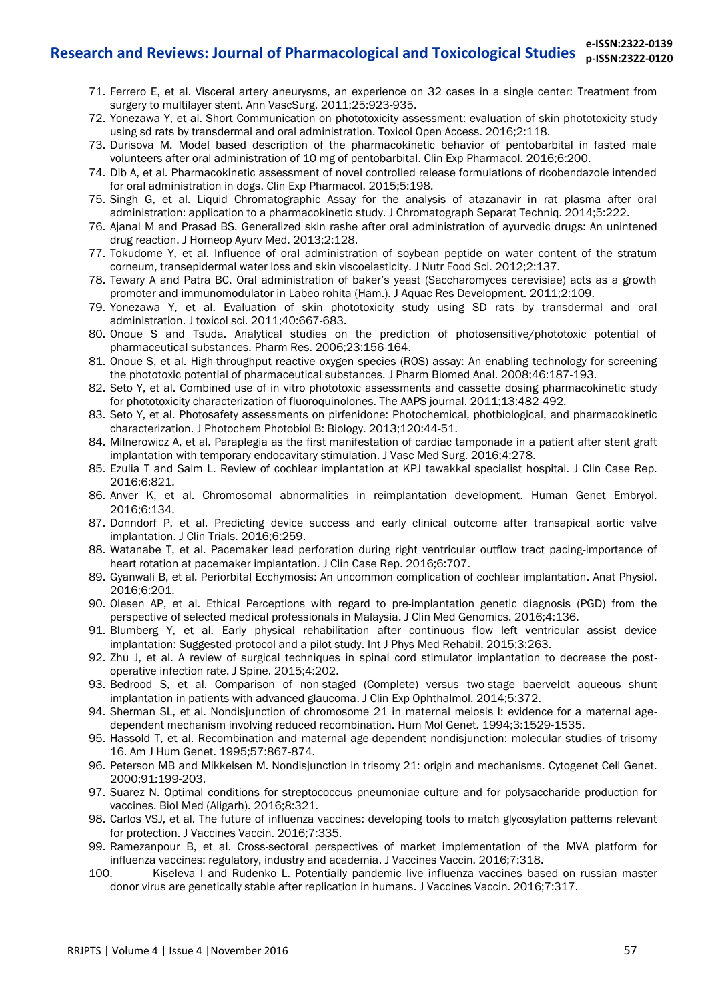- 71. Ferrero E, et al. Visceral artery aneurysms, an experience on 32 cases in a single center: Treatment from surgery to multilayer stent. Ann VascSurg. 2011;25:923-935.
- 72. Yonezawa Y, et al. Short Communication on phototoxicity assessment: evaluation of skin phototoxicity study using sd rats by transdermal and oral administration. Toxicol Open Access. 2016;2:118.
- 73. Durisova M. Model based description of the pharmacokinetic behavior of pentobarbital in fasted male volunteers after oral administration of 10 mg of pentobarbital. Clin Exp Pharmacol. 2016;6:200.
- 74. Dib A, et al. Pharmacokinetic assessment of novel controlled release formulations of ricobendazole intended for oral administration in dogs. Clin Exp Pharmacol. 2015;5:198.
- 75. Singh G, et al. Liquid Chromatographic Assay for the analysis of atazanavir in rat plasma after oral administration: application to a pharmacokinetic study. J Chromatograph Separat Techniq. 2014;5:222.
- 76. Ajanal M and Prasad BS. Generalized skin rashe after oral administration of ayurvedic drugs: An unintened drug reaction. J Homeop Ayurv Med. 2013;2:128.
- 77. Tokudome Y, et al. Influence of oral administration of soybean peptide on water content of the stratum corneum, transepidermal water loss and skin viscoelasticity. J Nutr Food Sci. 2012;2:137.
- 78. Tewary A and Patra BC. Oral administration of baker's yeast (Saccharomyces cerevisiae) acts as a growth promoter and immunomodulator in Labeo rohita (Ham.). J Aquac Res Development. 2011;2:109.
- 79. Yonezawa Y, et al. Evaluation of skin phototoxicity study using SD rats by transdermal and oral administration. J toxicol sci. 2011;40:667-683.
- 80. Onoue S and Tsuda. Analytical studies on the prediction of photosensitive/phototoxic potential of pharmaceutical substances. Pharm Res. 2006;23:156-164.
- 81. Onoue S, et al. High-throughput reactive oxygen species (ROS) assay: An enabling technology for screening the phototoxic potential of pharmaceutical substances. J Pharm Biomed Anal. 2008;46:187-193.
- 82. Seto Y, et al. Combined use of in vitro phototoxic assessments and cassette dosing pharmacokinetic study for phototoxicity characterization of fluoroquinolones. The AAPS journal. 2011;13:482-492.
- 83. Seto Y, et al. Photosafety assessments on pirfenidone: Photochemical, photbiological, and pharmacokinetic characterization. J Photochem Photobiol B: Biology. 2013;120:44-51.
- 84. Milnerowicz A, et al. Paraplegia as the first manifestation of cardiac tamponade in a patient after stent graft implantation with temporary endocavitary stimulation. J Vasc Med Surg. 2016;4:278.
- 85. Ezulia T and Saim L. Review of cochlear implantation at KPJ tawakkal specialist hospital. J Clin Case Rep. 2016;6:821.
- 86. Anver K, et al. Chromosomal abnormalities in reimplantation development. Human Genet Embryol. 2016;6:134.
- 87. Donndorf P, et al. Predicting device success and early clinical outcome after transapical aortic valve implantation. J Clin Trials. 2016;6:259.
- 88. Watanabe T, et al. Pacemaker lead perforation during right ventricular outflow tract pacing-importance of heart rotation at pacemaker implantation. J Clin Case Rep. 2016;6:707.
- 89. Gyanwali B, et al. Periorbital Ecchymosis: An uncommon complication of cochlear implantation. Anat Physiol. 2016;6:201.
- 90. Olesen AP, et al. Ethical Perceptions with regard to pre-implantation genetic diagnosis (PGD) from the perspective of selected medical professionals in Malaysia. J Clin Med Genomics. 2016;4:136.
- 91. Blumberg Y, et al. Early physical rehabilitation after continuous flow left ventricular assist device implantation: Suggested protocol and a pilot study. Int J Phys Med Rehabil. 2015;3:263.
- 92. Zhu J, et al. A review of surgical techniques in spinal cord stimulator implantation to decrease the postoperative infection rate. J Spine. 2015;4:202.
- 93. Bedrood S, et al. Comparison of non-staged (Complete) versus two-stage baerveldt aqueous shunt implantation in patients with advanced glaucoma. J Clin Exp Ophthalmol. 2014;5:372.
- 94. Sherman SL, et al. Nondisjunction of chromosome 21 in maternal meiosis I: evidence for a maternal agedependent mechanism involving reduced recombination. Hum Mol Genet. 1994;3:1529-1535.
- 95. Hassold T, et al. Recombination and maternal age-dependent nondisjunction: molecular studies of trisomy 16. Am J Hum Genet. 1995;57:867-874.
- 96. Peterson MB and Mikkelsen M. Nondisjunction in trisomy 21: origin and mechanisms. Cytogenet Cell Genet. 2000;91:199-203.
- 97. Suarez N. Optimal conditions for streptococcus pneumoniae culture and for polysaccharide production for vaccines. Biol Med (Aligarh). 2016;8:321.
- 98. Carlos VSJ, et al. The future of influenza vaccines: developing tools to match glycosylation patterns relevant for protection. J Vaccines Vaccin. 2016;7:335.
- 99. Ramezanpour B, et al. Cross-sectoral perspectives of market implementation of the MVA platform for influenza vaccines: regulatory, industry and academia. J Vaccines Vaccin. 2016;7:318.
- 100. Kiseleva I and Rudenko L. Potentially pandemic live influenza vaccines based on russian master donor virus are genetically stable after replication in humans. J Vaccines Vaccin. 2016;7:317.